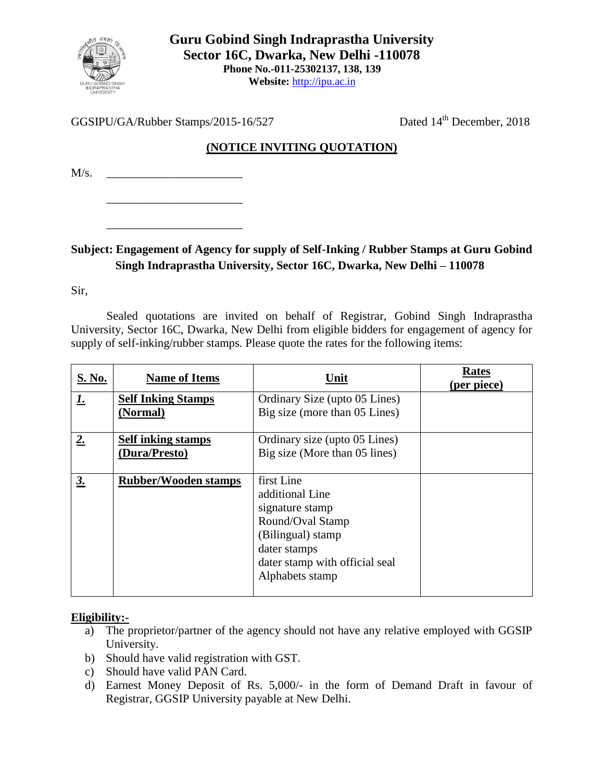

GGSIPU/GA/Rubber Stamps/2015-16/527

Dated 14<sup>th</sup> December, 2018

## **(NOTICE INVITING QUOTATION)**

 $M/s$ .

\_\_\_\_\_\_\_\_\_\_\_\_\_\_\_\_\_\_\_\_\_\_\_

\_\_\_\_\_\_\_\_\_\_\_\_\_\_\_\_\_\_\_\_\_\_\_

## **Subject: Engagement of Agency for supply of Self-Inking / Rubber Stamps at Guru Gobind Singh Indraprastha University, Sector 16C, Dwarka, New Delhi – 110078**

Sir,

Sealed quotations are invited on behalf of Registrar, Gobind Singh Indraprastha University, Sector 16C, Dwarka, New Delhi from eligible bidders for engagement of agency for supply of self-inking/rubber stamps. Please quote the rates for the following items:

| S. No.    | <b>Name of Items</b>        | Unit                           | <b>Rates</b><br>(per piece) |
|-----------|-----------------------------|--------------------------------|-----------------------------|
| <u>1.</u> | <b>Self Inking Stamps</b>   | Ordinary Size (upto 05 Lines)  |                             |
|           | (Normal)                    | Big size (more than 05 Lines)  |                             |
| 2.        | <b>Self inking stamps</b>   | Ordinary size (upto 05 Lines)  |                             |
|           | (Dura/Presto)               | Big size (More than 05 lines)  |                             |
|           |                             |                                |                             |
| 3.        | <b>Rubber/Wooden stamps</b> | first Line                     |                             |
|           |                             | additional Line                |                             |
|           |                             | signature stamp                |                             |
|           |                             | Round/Oval Stamp               |                             |
|           |                             | (Bilingual) stamp              |                             |
|           |                             | dater stamps                   |                             |
|           |                             | dater stamp with official seal |                             |
|           |                             | Alphabets stamp                |                             |
|           |                             |                                |                             |

## **Eligibility:-**

- a) The proprietor/partner of the agency should not have any relative employed with GGSIP University.
- b) Should have valid registration with GST.
- c) Should have valid PAN Card.
- d) Earnest Money Deposit of Rs. 5,000/- in the form of Demand Draft in favour of Registrar, GGSIP University payable at New Delhi.